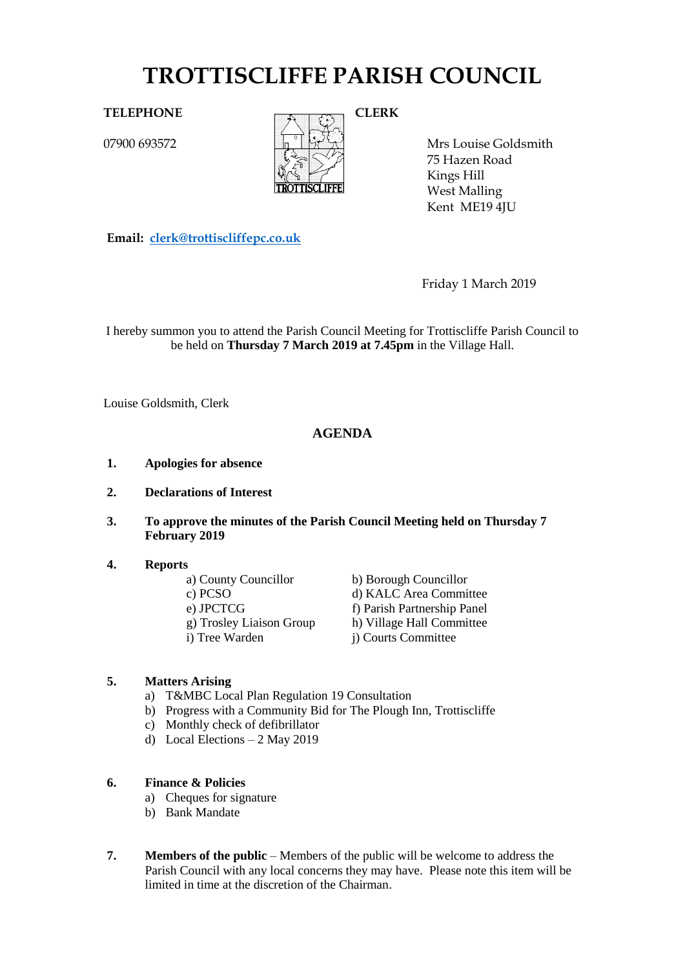# **TROTTISCLIFFE PARISH COUNCIL**

07900 693572



Mrs Louise Goldsmith 75 Hazen Road Kings Hill West Malling Kent ME19 4JU

**Email: [clerk@trottiscliffepc.co.uk](mailto:clerk@trottiscliffepc.co.uk)**

Friday 1 March 2019

I hereby summon you to attend the Parish Council Meeting for Trottiscliffe Parish Council to be held on **Thursday 7 March 2019 at 7.45pm** in the Village Hall.

Louise Goldsmith, Clerk

## **AGENDA**

- **1. Apologies for absence**
- **2. Declarations of Interest**
- **3. To approve the minutes of the Parish Council Meeting held on Thursday 7 February 2019**

#### **4. Reports**

| a) County Councillor     | b) Borough Councillor       |
|--------------------------|-----------------------------|
| c) PCSO                  | d) KALC Area Committee      |
| e) JPCTCG                | f) Parish Partnership Panel |
| g) Trosley Liaison Group | h) Village Hall Committee   |
| i) Tree Warden           | i) Courts Committee         |
|                          |                             |

## **5. Matters Arising**

- a) T&MBC Local Plan Regulation 19 Consultation
- b) Progress with a Community Bid for The Plough Inn, Trottiscliffe
- c) Monthly check of defibrillator
- d) Local Elections 2 May 2019

## **6. Finance & Policies**

- a) Cheques for signature
- b) Bank Mandate
- **7. Members of the public** Members of the public will be welcome to address the Parish Council with any local concerns they may have. Please note this item will be limited in time at the discretion of the Chairman.